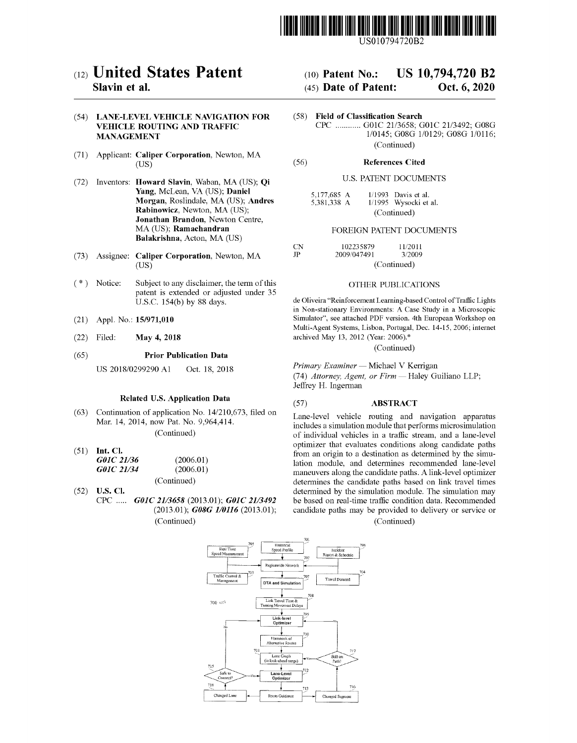

US010794720B2

# (12) United States Patent

# Slavin et al.

# (54) LANE-LEVEL VEHICLE NAVIGATION FOR VEHICLE ROUTING AND TRAFFIC MANAGEMENT

- (71) Applicant: Caliper Corporation, Newton, MA (US)
- (72) Inventors: Howard Slavin, Waban, MA (US); Qi Yang, McLean, VA (US); Daniel Morgan, Roslindale, MA (US); Andres Rabinowicz, Newton, MA (US); Jonathan Brandon, Newton Centre, MA (US); Ramachandran Balakrishna, Acton, MA (US)
- (73) Assignee: Caliper Corporation, Newton, MA (US)
- (\*) Notice: Subject to any disclaimer, the term of this patent is extended or adjusted under 35 U.S.C. 154(b) by 88 days.
- (21) Appl. No.: 15/971,010
- (22) Filed: May 4, 2018
- (65) Prior Publication Data

US 2018/0299290 Al Oct. 18, 2018

#### Related U.S. Application Data

(63) Continuation of application No. 14/210,673, filed on Mar. 14, 2014, now Pat. No. 9,964,414.

(Continued)

- (51) Int. Cl. G01C 21/36 (2006.01)<br>G01C 21/34 (2006.01) G01C 21/34 (Continued)
- (52) U.S. Cl.
	- CPC ..... G01C 21/3658 (2013.01); G01C 21/3492 (2013.01); G08G 1/0116 (2013.01); (Continued)

# (10) Patent No.: US 10,794,720 B2

# (45) Date of Patent: Oct. 6, 2020

(58) Field of Classification Search CPC ............ GO1C 21/3658; GO1C 21/3492; GO8G 1/0145; GO8G 1/0129; GO8G 1/0116; (Continued)

#### (56) References Cited

#### U.S. PATENT DOCUMENTS

| 5,177,685 A |  | $1/1993$ Davis et al. |
|-------------|--|-----------------------|
| 5,381,338 A |  | 1/1995 Wysocki et al. |
| (Continued) |  |                       |

#### FOREIGN PATENT DOCUMENTS

| CN. | 102235879   | 11/2011     |  |
|-----|-------------|-------------|--|
| .JP | 2009/047491 | 3/2009      |  |
|     |             | (Continued) |  |

## OTHER PUBLICATIONS

de Oliveira "Reinforcement Learning-based Control of Traffic Lights in Non-stationary Environments: A Case Study in a Microscopic Simulator", see attached PDF version. 4th European Workshop on Multi-Agent Systems, Lisbon, Portugal, Dec. 14-15, 2006; internet archived May 13, 2012 (Year: 2006).\*

(Continued)

Primary Examiner - Michael V Kerrigan

(74) Attorney, Agent, or Firm - Haley Guiliano LLP; Jeffrey H. Ingerman

#### (57) ABSTRACT

Lane-level vehicle routing and navigation apparatus includes a simulation module that performs microsimulation of individual vehicles in a traffic stream, and a lane-level optimizer that evaluates conditions along candidate paths from an origin to a destination as determined by the simulation module, and determines recommended lane-level maneuvers along the candidate paths. A link-level optimizer determines the candidate paths based on link travel times determined by the simulation module. The simulation may be based on real-time traffic condition data. Recommended candidate paths may be provided to delivery or service or

(Continued)

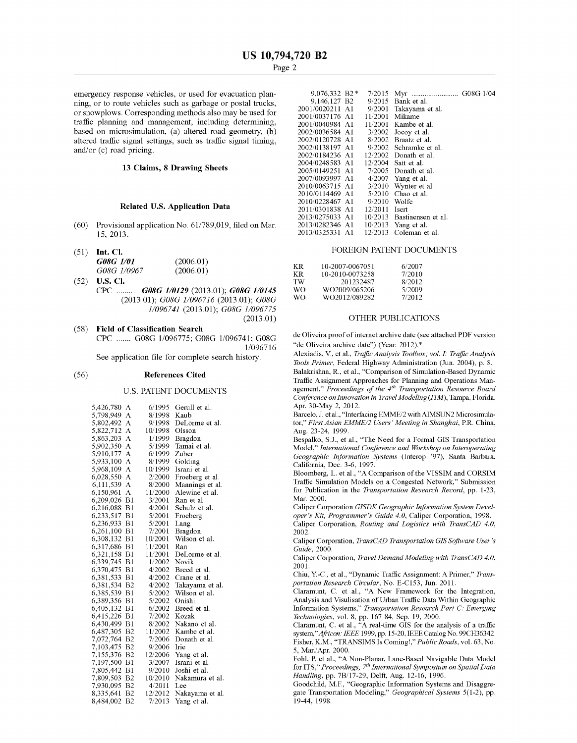emergency response vehicles, or used for evacuation planning, or to route vehicles such as garbage or postal trucks, or snowplows. Corresponding methods also may be used for traffic planning and management, including determining, based on microsimulation, (a) altered road geometry, (b) altered traffic signal settings, such as traffic signal timing, and/or (c) road pricing.

#### 13 Claims, 8 Drawing Sheets

## Related U.S. Application Data

- (60) Provisional application No. 61/789,019, filed on Mar. 15, 2013.
- (51) mt. Cl.

| G08G 1/01   | (2006.01) |
|-------------|-----------|
| G08G 1/0967 | (2006.01) |

(52) U.S. Cl. CPC ......... G08G 1/0129 (2013.01); G08G 1/0145 (2013.01); G08G 1/096716 (2013.01); G08G 1/096741 (2013.01); G08G 1/096775 (2013.01)

#### (58) Field of Classification Search

CPC ....... GO8G 1/096775; GO8G 1/096741; GO8G 1/0967 16

See application file for complete search history.

#### (56) References Cited

#### U.S. PATENT DOCUMENTS

| 5,426,780 | А              | 6/1995  | Gerull et al.   |
|-----------|----------------|---------|-----------------|
| 5,798,949 | А              | 8/1998  | Kaub            |
| 5,802,492 | A              | 9/1998  | DeLorme et al.  |
| 5,822,712 | A              | 10/1998 | Olsson          |
| 5,863,203 | A              | 1/1999  | Bragdon         |
| 5,902,350 | А              | 5/1999  | Tamai et al.    |
| 5,910,177 | А              | 6/1999  | Zuber           |
| 5,933,100 | А              | 8/1999  | Golding         |
| 5,968,109 | A              | 10/1999 | Israni et al.   |
| 6,028,550 | A              | 2/2000  | Froeberg et al. |
| 6,111,539 | A              | 8/2000  | Mannings et al. |
| 6,150,961 | A              | 11/2000 | Alewine et al.  |
| 6,209,026 | B1             | 3/2001  | Ran et al.      |
| 6,216,088 | B1             | 4/2001  | Schulz et al.   |
| 6,233,517 | B1             | 5/2001  | Froeberg        |
| 6,236,933 | B1             | 5/2001  | Lang            |
| 6,261,100 | B1             | 7/2001  | Bragdon         |
| 6,308,132 | B1             | 10/2001 | Wilson et al.   |
| 6,317,686 | B1             | 11/2001 | Ran             |
| 6,321,158 | B1             | 11/2001 | DeLorme et al.  |
| 6,339,745 | B1             | 1/2002  | Novik           |
| 6,370,475 | B1             | 4/2002  | Breed et al.    |
| 6,381,533 | B1             | 4/2002  | Crane et al.    |
| 6,381,534 | B <sub>2</sub> | 4/2002  | Takayama et al. |
| 6,385,539 | B1             | 5/2002  | Wilson et al.   |
| 6,389,356 | B1             | 5/2002  | Onishi          |
| 6,405,132 | B1             | 6/2002  | Breed et al.    |
| 6,415,226 | B1             | 7/2002  | Kozak           |
| 6,430,499 | B1             | 8/2002  | Nakano et al.   |
| 6,487,305 | B <sub>2</sub> | 11/2002 | Kambe et al.    |
| 7,072,764 | B <sub>2</sub> | 7/2006  | Donath et al.   |
| 7,103,475 | B <sub>2</sub> | 9/2006  | Irie            |
| 7,155,376 | B <sub>2</sub> | 12/2006 | Yang et al.     |
| 7,197,500 | B1             | 3/2007  | Israni et al.   |
| 7,805,442 | B1             | 9/2010  | Joshi et al.    |
| 7,809,503 | B <sub>2</sub> | 10/2010 | Nakamura et al. |
| 7,930,095 | B <sub>2</sub> | 4/2011  | Lee             |
| 8,335,641 | B <sub>2</sub> | 12/2012 | Nakayama et al. |
| 8,484,002 | B2             | 7/2013  | Yang et al.     |

| $9,076,332 \text{ B2}$ * | 7/2015  |                    |
|--------------------------|---------|--------------------|
| 9.146.127 B2             | 9/2015  | Bank et al.        |
| 2001/0020211 A1          | 9/2001  | Takayama et al.    |
| 2001/0037176 A1          | 11/2001 | Mikame             |
| 2001/0040984 A1          | 11/2001 | Kambe et al.       |
| 2002/0036584 A1          | 3/2002  | Jocoy et al.       |
| 2002/0120728 A1          | 8/2002  | Braatz et al.      |
| 2002/0138197 A1          | 9/2002  | Schramke et al.    |
| 2002/0184236 A1          | 12/2002 | Donath et al.      |
| 2004/0248583 A1          | 12/2004 | Satt et al.        |
| 2005/0149251 A1          | 7/2005  | Donath et al.      |
| 2007/0093997 A1          | 4/2007  | Yang et al.        |
| 2010/0063715 A1          | 3/2010  | Wynter et al.      |
| 2010/0114469 A1          | 5/2010  | Chao et al.        |
| 2010/0228467 A1          | 9/2010  | Wolfe              |
| 2011/0301838 A1          | 12/2011 | Isert              |
| 2013/0275033 A1          | 10/2013 | Bastiaensen et al. |
| 2013/0282346 A1          | 10/2013 | Yang et al.        |
| 2013/0325331 A1          | 12/2013 | Coleman et al.     |

#### FOREIGN PATENT DOCUMENTS

| KR. | 10-2007-0067051 | 6/2007 |
|-----|-----------------|--------|
| KR. | 10-2010-0073258 | 7/2010 |
| TW  | 201232487       | 8/2012 |
| WΩ  | WO2009/065206   | 5/2009 |
| WO. | WO2012/089282   | 7/2012 |

#### OTHER PUBLICATIONS

de Oliveira proof of internet archive date (see attached PDF version "de Oliveira archive date") (Year: 2012).\*

Alexiadis, V., et al., Traffic Analysis Toolbox; vol. I: Traffic Analysis Tools Primer, Federa! Highway Administration (Jun. 2004), p. 8. Balakrishna, R., et al., "Comparison of Simulation-Based Dynamic Traffic Assignment Approaches for Planning and Operations Management," Proceedings of the  $4<sup>th</sup>$  Transportation Resource Board Conference on Innovation in Travel Modeling (ITM), Tampa, Florida, Apr. 30-May 2, 2012.

Barcelo, J. et al., "Interfacing EMME/2 with AIMSUN2 Microsimulator," First Asian EMME/2 Users'Meeting in Shanghai, P.R. China, Aug. 23-24, 1999.

Bespalko, S.J., et al., "The Need for a Formal GIS Transportation Mode!," International Conference and Workshop on Interoperating Geographic Information Systems (Interop '97), Santa Barbara, California, Dec. 3-6, 1997.

B!oomberg, L. et al., "A Comparison of the VISSIM and CORSIM Traffic Simulation Models on a Congested Network," Submission for Publication in the Transportation Research Record, pp. 1-23, Mar. 2000.

Caliper Corporation GISDK Geographic Information System Developer's Kit, Programmer's Guide 4.0, Caliper Corporation, 1998.

Caliper Corporation, Routing and Logistics with TransCAD 4.0, 2002.

Caliper Corporation, TransCAD Transportation GIS Software User's Guide, 2000.

Caliper Corporation, Travel Demand Modeling with TransCAD 4.0, 2001.

Chiu, Y.-C., et al., "Dynamic Traffic Assignment: A Primer," Trans portation Research Circular, No. E-C153, Jun. 2011.

Claramunt, C. et al., "A New Framework for the Integration, Analysis and Visulisation of Urban Traffic Data Within Geographic Information Systems," Transportation Research Part C: Emerging Technologies, vo!. 8, pp. 167 84, Sep. 19, 2000.

Claramunt, C. et al., "A real-time GIS for the analysis of a traffic system," Africon: IEEE 1999, pp. 15-20, IEEE Catalog No. 99CH36342. Fisher, KM., "TRANSIMS Is Coming!," Public Roads, vo!. 63, No. 5, Mar/Apr. 2000.

Fohl, P. et al., "A Non-Planar, Lane-Based Navigable Data Model for ITS," Proceedings, 7<sup>th</sup> International Symposium on Spatial Data Handling, pp. 7B/17-29, Delft, Aug. 12-16, 1996.

Goodchild, M.F., "Geographic Information Systems and Disaggregate Transportation Modeling," Geographical Systems 5(1-2), pp. 19-44, 1998.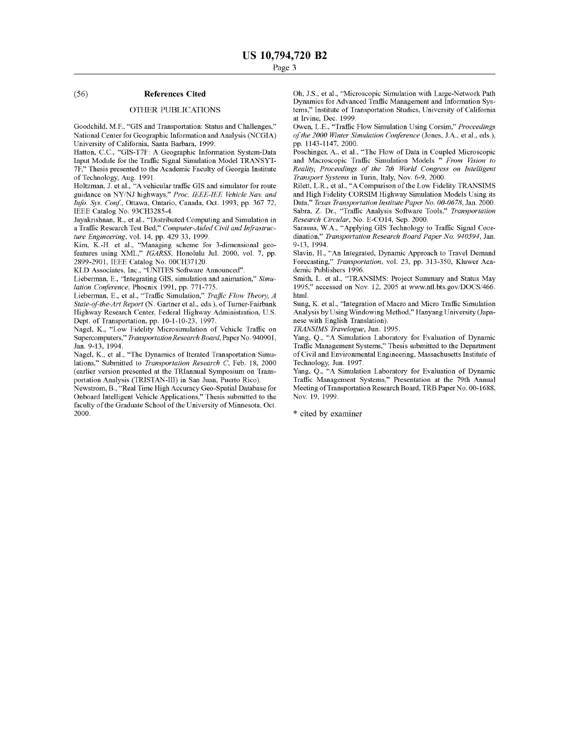#### (56) References Cited

### OTHER PUBLICATIONS

Goodchild, M.F., "GIS and Transportation: Status and Challenges," National Center for Geographic Information and Analysis (NCGIA) University of California, Santa Barbara, 1999.

Hatton, C.C., "GIS-T7F: A Geographic Information System-Data Input Module for the Traffic Signal Simulation Model TRANSYT-7F," Thesis presented to the Academic Faculty of Georgia Institute of Technology, Aug. 1991.

Holtzman, J. et al., "A vehicular traffic GIS and simulator for route guidance on NY/NJ highways," Proc. IEEE-lEE Vehicle Nay, and Info. Sys. Conf, Ottawa, Ontario, Canada, Oct. 1993, pp. 367 72, IEEE Catalog No. 93CH3285-4.

Jayakrishnan, R., et al., "Distributed Computing and Simulation in a Traffic Research Test Bed," Computer-Aided Civil and Infrastructure Engineering, vol. 14, pp. 429 33, 1999.

Kim, K.-H. et al., "Managing scheme for 3-dimensional geofeatures using XML," IGARSS, Honolulu Jul. 2000, vol. 7, pp. 2899-2901, IEEE Catalog No. 00CH37120.

KLD Associates, Inc., "UNITES Sofiware Announced".

Lieberman, E., "Integrating GIS, simulation and animation," Simulation Conference, Phoenix 1991, pp. 771-775.

Lieberman, E., et al., "Traffic Simulation," Traffic Flow Theory, A State-of-the-Art Report (N. Gartner et al., eds.), of Turner-Fairbank Highway Research Center, Federal Highway Administration, U.S. Analysis by Using Windowing N<br>Dept. of Transportation, pp. 10-1-10-23, 1997. nese with English Translation. Dept. of Transportation, pp. 10-1-10-23, 1997.

Nagel, K., "Low Fidelity Microsimulation of Vehicle Traffic on Supercomputers," Transportation Research Board, Paper No. 940901, Jan. 9-13, 1994.

Nagel, K., et al., "The Dynamics of Iterated Transportation Simulations," Submitted to Transportation Research C, Feb. 18, 2000 (earlier version presented at the TRIannual Symposium on Transportation Analysis (TRISTAN-Ill) in San Juan, Puerto Rico).

Newstrom, B., "Real Time High Accuracy Geo-Spatial Database for Onboard Intelligent Vehicle Applications," Thesis submitted to the faculty of the Graduate School of the University of Minnesota, Oct. 2000.

Oh, J.S., et al., "Microscopic Simulation with Large-Network Path Dynamics for Advanced Traffic Management and Information Systems," Institute of Transportation Studies, University of California at Irvine, Dec. 1999.

Owen, L.E., "Traffic Flow Simulation Using Corsim," Proceedings of the 2000 Winter Simulation Conference (Jones, J.A., et al., eds.), pp. 1143-1147, 2000.

Poschinger, A., et al., "The Flow of Data in Coupled Microscopic and Macroscopic Traffic Simulation Models " From Vision to Reality, Proceedings of the 7th World Congress on Intelligent Transport Systems in Turin, Italy, Nov. 6-9, 2000.

Rilett, L.R., et al., "A Comparison of the Low Fidelity TRANSIMS and High Fidelity CORSIM Highway Simulation Models Using its Data," Texas Transportation Institute Paper No. 00-0678, Jan. 2000. Sabra, Z. Dr., "Traffic Analysis Sofiware Tools," Transportation Research Circular, No. E-CO14, Sep. 2000.

Sarasua, WA., "Applying GIS Technology to Traffic Signal Coordination," Transportation Research Board Paper No. 940594, Jan. 9-13, 1994.

Slavin, H., "An Integrated, Dynamic Approach to Travel Demand Forecasting," Transportation, vol. 23, pp. 313-350, Kluwer Academic Publishers 1996.

Smith, L. et al., "TRANSIMS: Project Summary and Status May 1995," accessed on Nov. 12, 2005 at www.ntl.bts.gov/DOCS/466. html.

Sung, K. et al., "Integration of Macro and Micro Traffic Simulation Analysis by Using Windowing Method," Hanyang University (Japa-

TRANSIMS Travelogue, Jun. 1995.

Yang, Q., "A Simulation Laboratory for Evaluation of Dynamic Traffic Management Systems," Thesis submitted to the Department of Civil and Environmental Engineering, Massachusetts Institute of Technology, Jun. 1997.

Yang, Q., "A Simulation Laboratory for Evaluation of Dynamic Traffic Management Systems," Presentation at the 79th Annual Meeting of Transportation Research Board, TRB Paper No. 00-1688, Nov. 19, 1999.

\* cited by examiner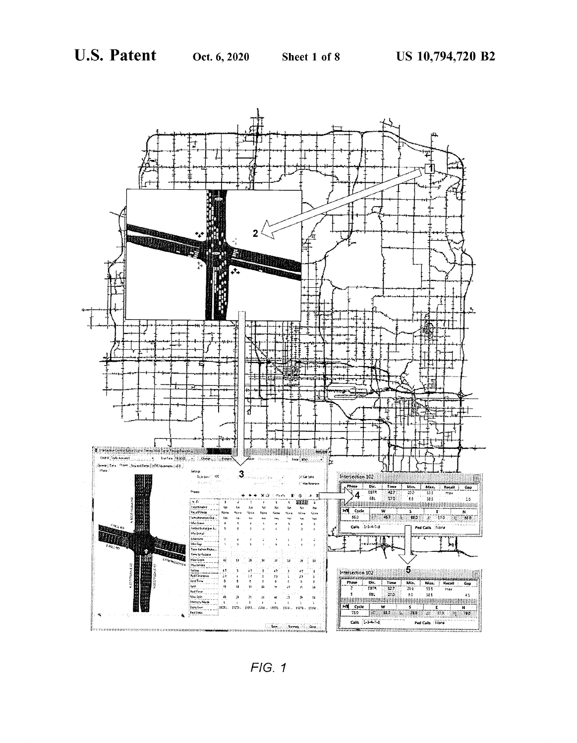

 $FIG. 1$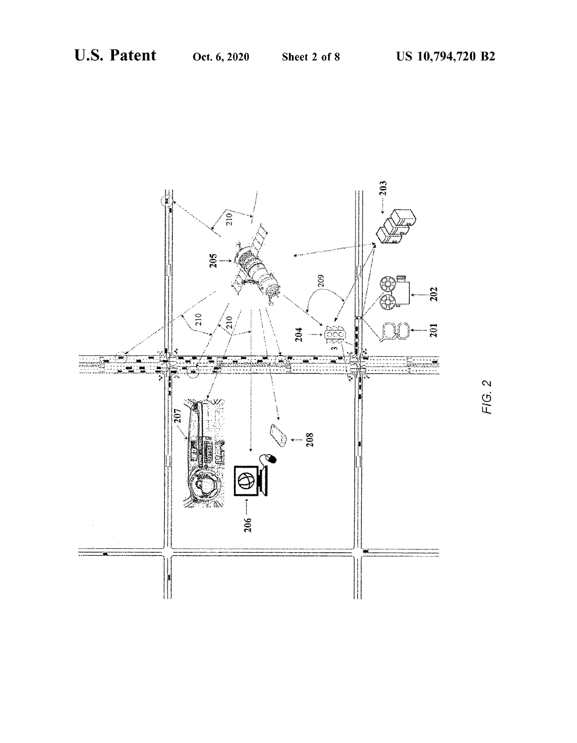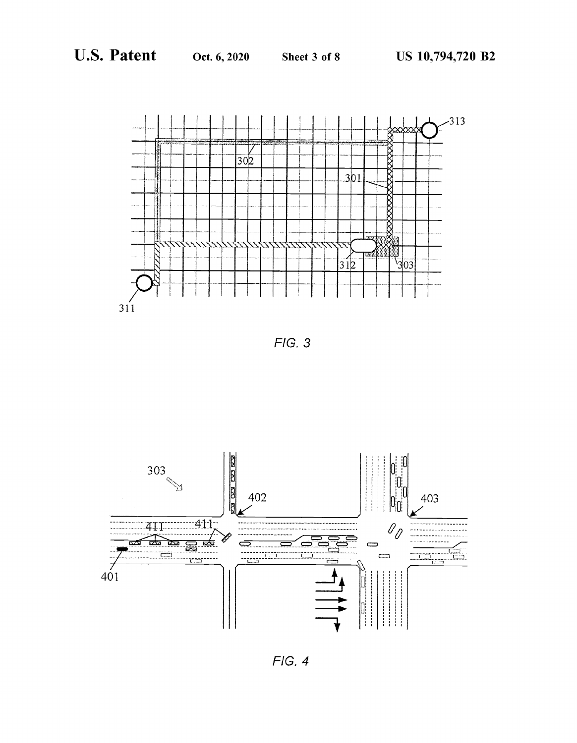



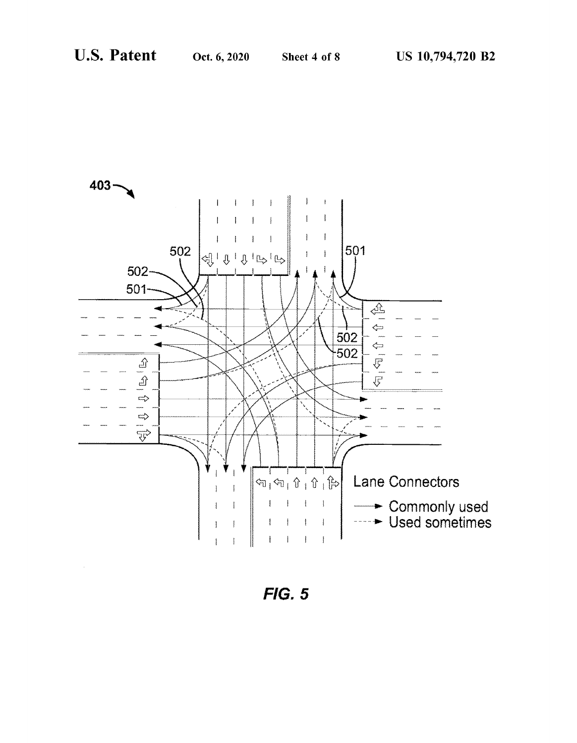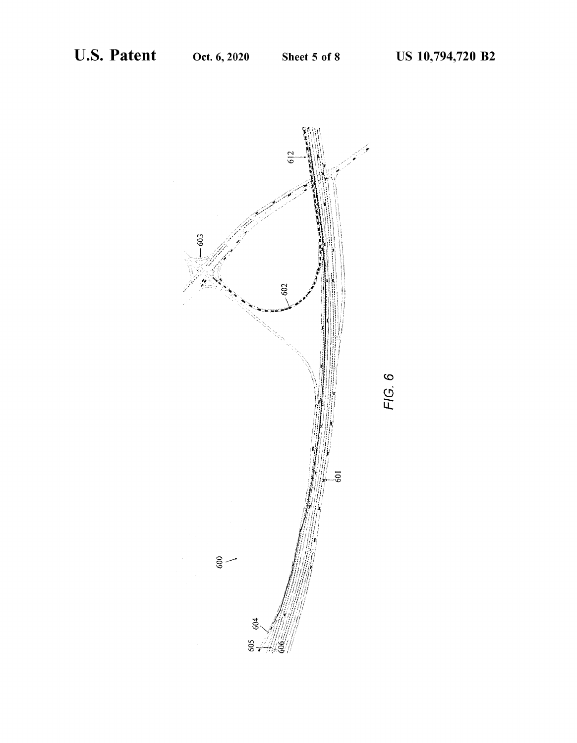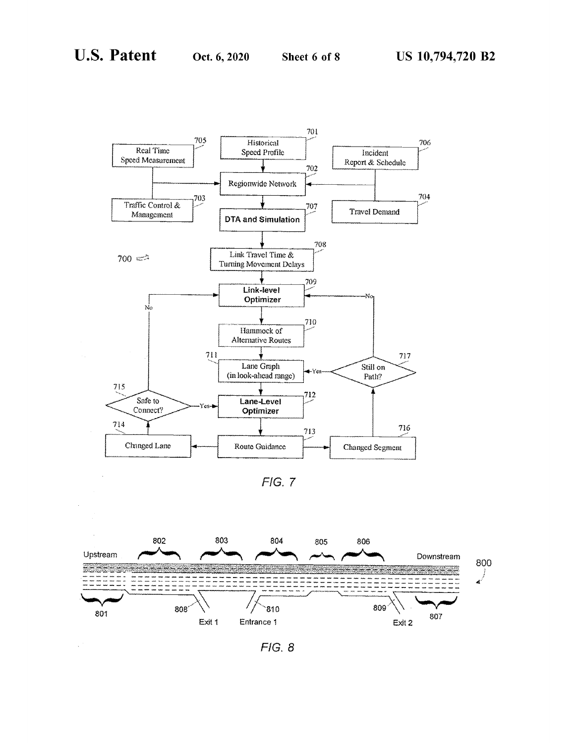$\ddot{\phantom{1}}$ 



 $FIG. 7$ 



 $F/G.8$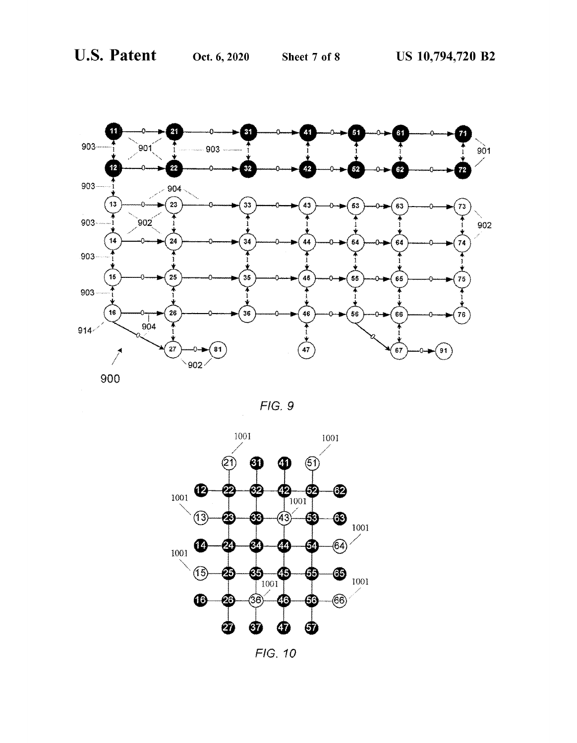



FIG. 10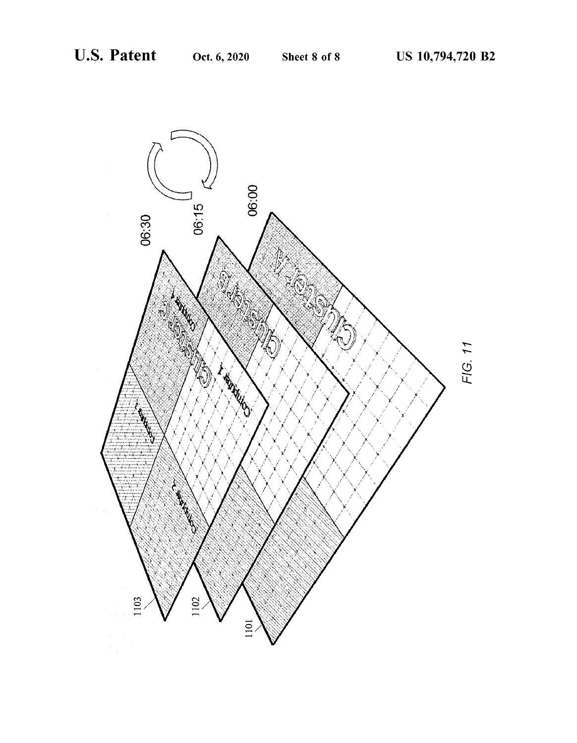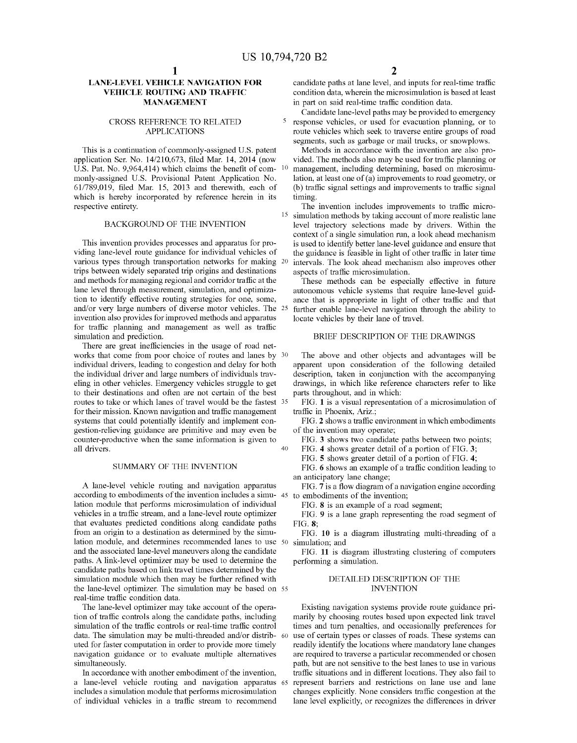# LANE-LEVEL VEHICLE NAVIGATION FOR VEHICLE ROUTING AND TRAFFIC MANAGEMENT

### CROSS REFERENCE TO RELATED APPLICATIONS

This is a continuation of commonly-assigned U.S. patent application Ser. No. 14/210,673, filed Mar. 14, 2014 (now U.S. Pat. No. 9,964,414) which claims the benefit of com monly-assigned U.S. Provisional Patent Application No. 61/789,019, filed Mar. 15, 2013 and therewith, each of which is hereby incorporated by reference herein in its respective entirety.

# BACKGROUND OF THE INVENTION

This invention provides processes and apparatus for providing lane-level route guidance for individual vehicles of various types through transportation networks for making trips between widely separated trip origins and destinations and methods for managing regional and corridor traffic at the lane level through measurement, simulation, and optimization to identify effective routing strategies for one, some, and/or very large numbers of diverse motor vehicles. The invention also provides for improved methods and apparatus for traffic planning and management as well as traffic simulation and prediction.

There are great inefficiencies in the usage of road networks that come from poor choice of routes and lanes by 30 individual drivers, leading to congestion and delay for both the individual driver and large numbers of individuals traveling in other vehicles. Emergency vehicles struggle to get to their destinations and often are not certain of the best routes to take or which lanes of travel would be the fastest <sup>35</sup> for their mission. Known navigation and traffic management systems that could potentially identify and implement congestion-relieving guidance are primitive and may even be counter-productive when the same information is given to all drivers.

# SUMMARY OF THE INVENTION

A lane-level vehicle routing and navigation apparatus according to embodiments of the invention includes a simulation module that performs microsimulation of individual vehicles in a traffic stream, and a lane-level route optimizer that evaluates predicted conditions along candidate paths from an origin to a destination as determined by the simulation module, and determines recommended lanes to use and the associated lane-level maneuvers along the candidate paths. A link-level optimizer may be used to determine the candidate paths based on link travel times determined by the simulation module which then may be further refined with the lane-level optimizer. The simulation may be based on 55 real-time traffic condition data.

The lane-level optimizer may take account of the operation of traffic controls along the candidate paths, including simulation of the traffic controls or real-time traffic control data. The simulation may be multi-threaded and/or distributed for faster computation in order to provide more timely navigation guidance or to evaluate multiple alternatives simultaneously.

In accordance with another embodiment of the invention, a lane-level vehicle routing and navigation apparatus includes a simulation module that performs microsimulation of individual vehicles in a traffic stream to recommend

candidate paths at lane level, and inputs for real-time traffic condition data, wherein the microsimulation is based at least in part on said real-time traffic condition data.

Candidate lane-level paths may be provided to emergency response vehicles, or used for evacuation planning, or to route vehicles which seek to traverse entire groups of road segments, such as garbage or mail trucks, or snowplows.

Methods in accordance with the invention are also provided. The methods also may be used for traffic planning or management, including determining, based on microsimulation, at least one of (a) improvements to road geometry, or (b) traffic signal settings and improvements to traffic signal timing.

The invention includes improvements to traffic micro- <sup>15</sup> simulation methods by taking account of more realistic lane level trajectory selections made by drivers. Within the context of a single simulation run, a look ahead mechanism is used to identify better lane-level guidance and ensure that the guidance is feasible in light of other traffic in later time intervals. The look ahead mechanism also improves other aspects of traffic microsimulation.

These methods can be especially effective in future autonomous vehicle systems that require lane-level guid ance that is appropriate in light of other traffic and that further enable lane-level navigation through the ability to locate vehicles by their lane of travel.

# BRIEF DESCRIPTION OF THE DRAWINGS

The above and other objects and advantages will be apparent upon consideration of the following detailed description, taken in conjunction with the accompanying drawings, in which like reference characters refer to like parts throughout, and in which:

FIG. 1 is a visual representation of a microsimulation of traffic in Phoenix, Ariz.;

FIG. 2 shows a traffic environment in which embodiments of the invention may operate;

FIG. 3 shows two candidate paths between two points;

FIG. 4 shows greater detail of a portion of FIG.  $3$ ;

FIG. S shows greater detail of a portion of FIG. 4;

FIG. 6 shows an example of a traffic condition leading to an anticipatory lane change;

FIG. 7 is a flow diagram of a navigation engine according to embodiments of the invention;

FIG. 8 is an example of a road segment;

FIG. 9 is a lane graph representing the road segment of FIG. 8;

FIG. 10 is a diagram illustrating multi-threading of a simulation; and

FIG. 11 is diagram illustrating clustering of computers performing a simulation.

# DETAILED DESCRIPTION OF THE **INVENTION**

Existing navigation systems provide route guidance primarily by choosing routes based upon expected link travel times and turn penalties, and occasionally preferences for use of certain types or classes of roads. These systems can readily identify the locations where mandatory lane changes are required to traverse a particular recommended or chosen path, but are not sensitive to the best lanes to use in various traffic situations and in different locations. They also fail to represent barriers and restrictions on lane use and lane changes explicitly. None considers traffic congestion at the lane level explicitly, or recognizes the differences in driver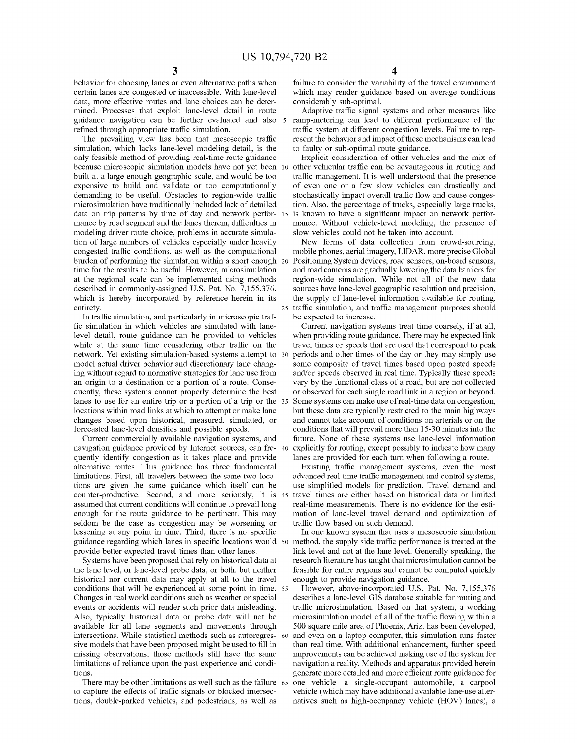behavior for choosing lanes or even alternative paths when certain lanes are congested or inaccessible. With lane-level data, more effective routes and lane choices can be determined. Processes that exploit lane-level detail in route guidance navigation can be further evaluated and also refined through appropriate traffic simulation.

The prevailing view has been that mesoscopic traffic simulation, which lacks lane-level modeling detail, is the only feasible method of providing real-time route guidance because microscopic simulation models have not yet been 10 built at a large enough geographic scale, and would be too expensive to build and validate or too computationally demanding to be useful. Obstacles to region-wide traffic microsimulation have traditionally included lack of detailed data on trip patterns by time of day and network perfor mance by road segment and the lanes therein, difficulties in modeling driver route choice, problems in accurate simulation of large numbers of vehicles especially under heavily congested traffic conditions, as well as the computational burden of performing the simulation within a short enough time for the results to be useful. However, microsimulation at the regional scale can be implemented using methods described in commonly-assigned U.S. Pat. No. 7,155,376, which is hereby incorporated by reference herein in its entirety.

In traffic simulation, and particularly in microscopic traffic simulation in which vehicles are simulated with lanelevel detail, route guidance can be provided to vehicles while at the same time considering other traffic on the network. Yet existing simulation-based systems attempt to model actual driver behavior and discretionary lane changing without regard to normative strategies for lane use from an origin to a destination or a portion of a route. Consequently, these systems cannot properly determine the best lanes to use for an entire trip or a portion of a trip or the 35 locations within road links at which to attempt or make lane changes based upon historical, measured, simulated, or forecasted lane-level densities and possible speeds.

Current commercially available navigation systems, and navigation guidance provided by Internet sources, can frequently identify congestion as it takes place and provide alternative routes. This guidance has three fundamental limitations. First, all travelers between the same two locations are given the same guidance which itself can be counter-productive. Second, and more seriously, it is assumed that current conditions will continue to prevail long enough for the route guidance to be pertinent. This may seldom be the case as congestion may be worsening or lessening at any point in time. Third, there is no specific guidance regarding which lanes in specific locations would provide better expected travel times than other lanes.

Systems have been proposed that rely on historical data at the lane level, or lane-level probe data, or both, but neither historical nor current data may apply at all to the travel conditions that will be experienced at some point in time. Changes in real world conditions such as weather or special events or accidents will render such prior data misleading. Also, typically historical data or probe data will not be available for all lane segments and movements through intersections. While statistical methods such as autoregressive models that have been proposed might be used to fill in missing observations, those methods still have the same limitations of reliance upon the past experience and conditions.

There may be other limitations as well such as the failure 65 to capture the effects of traffic signals or blocked intersections, double-parked vehicles, and pedestrians, as well as

 $\boldsymbol{\varDelta}$ 

failure to consider the variability of the travel environment which may render guidance based on average conditions considerably sub-optimal.

Adaptive traffic signal systems and other measures like ramp-metering can lead to different performance of the traffic system at different congestion levels. Failure to represent the behavior and impact of these mechanisms can lead to faulty or sub-optimal route guidance.

Explicit consideration of other vehicles and the mix of other vehicular traffic can be advantageous in routing and traffic management. It is well-understood that the presence of even one or a few slow vehicles can drastically and stochastically impact overall traffic flow and cause congestion. Also, the percentage of trucks, especially large trucks, <sup>15</sup>is known to have a significant impact on network perfor- mance. Without vehicle-level modeling, the presence of slow vehicles could not be taken into account.

New forms of data collection from crowd-sourcing, mobile phones, aerial imagery, LIDAR, more precise Global Positioning System devices, road sensors, on-board sensors, and road cameras are gradually lowering the data barriers for sources have lane-level geographic resolution and precision, the supply of lane-level information available for routing, 25 traffic simulation, and traffic management purposes should be expected to increase.

Current navigation systems treat time coarsely, if at all, when providing route guidance. There may be expected link travel times or speeds that are used that correspond to peak periods and other times of the day or they may simply use some composite of travel times based upon posted speeds and/or speeds observed in real time. Typically these speeds vary by the functional class of a road, but are not collected or observed for each single road link in a region or beyond. Some systems can make use of real-time data on congestion, but these data are typically restricted to the main highways and cannot take account of conditions on arterials or on the conditions that will prevail more than 15-30 minutes into the future. None of these systems use lane-level information explicitly for routing, except possibly to indicate how many lanes are provided for each turn when following a route.

Existing traffic management systems, even the most advanced real-time traffic management and control systems, use simplified models for prediction. Travel demand and travel times are either based on historical data or limited real-time measurements. There is no evidence for the estimation of lane-level travel demand and optimization of traffic flow based on such demand.

In one known system that uses a mesoscopic simulation method, the supply side traffic performance is treated at the link level and not at the lane level. Generally speaking, the research literature has taught that microsimulation cannot be feasible for entire regions and cannot be computed quickly enough to provide navigation guidance.

However, above-incorporated U.S. Pat. No. 7,155,376 describes a lane-level GIS database suitable for routing and traffic microsimulation. Based on that system, a working microsimulation model of all of the traffic flowing within a 500 square mile area of Phoenix, Ariz. has been developed, and even on a laptop computer, this simulation runs faster than real time. With additional enhancement, further speed improvements can be achieved making use of the system for navigation a reality. Methods and apparatus provided herein generate more detailed and more efficient route guidance for one vehicle-a single-occupant automobile, a carpool vehicle (which may have additional available lane-use alternatives such as high-occupancy vehicle (HOV) lanes), a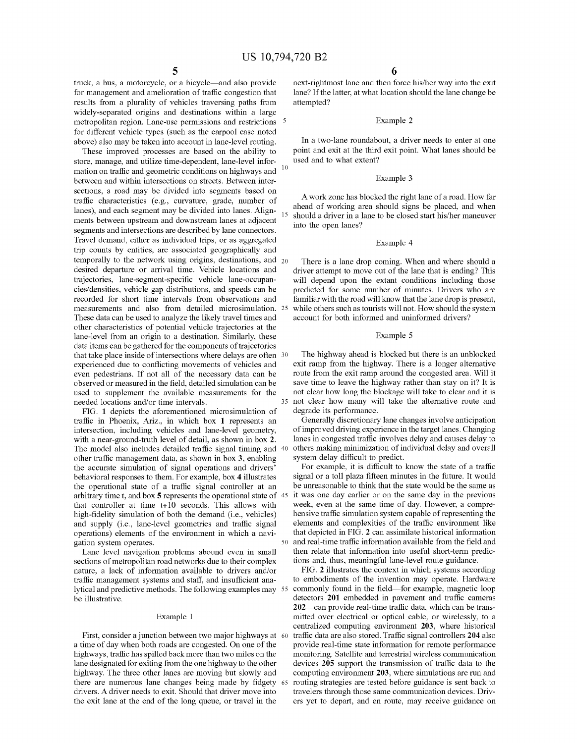truck, a bus, a motorcycle, or a bicycle-and also provide for management and amelioration of traffic congestion that results from a plurality of vehicles traversing paths from widely-separated origins and destinations within a large metropolitan region. Lane-use permissions and restrictions for different vehicle types (such as the carpool case noted above) also may be taken into account in lane-level routing.

These improved processes are based on the ability to store, manage, and utilize time-dependent, lane-level information on traffic and geometric conditions on highways and between and within intersections on streets. Between intersections, a road may be divided into segments based on traffic characteristics (e.g., curvature, grade, number of lanes), and each segment may be divided into lanes. Alignments between upstream and downstream lanes at adjacent segments and intersections are described by lane connectors. Travel demand, either as individual trips, or as aggregated trip counts by entities, are associated geographically and temporally to the network using origins, destinations, and desired departure or arrival time. Vehicle locations and trajectories, lane-segment-specific vehicle lane-occupancies/densities, vehicle gap distributions, and speeds can be recorded for short time intervals from observations and measurements and also from detailed microsimulation. These data can be used to analyze the likely travel times and other characteristics of potential vehicle trajectories at the lane-level from an origin to a destination. Similarly, these data items can be gathered for the components of trajectories that take place inside of intersections where delays are often 30 experienced due to conflicting movements of vehicles and even pedestrians. If not all of the necessary data can be observed or measured in the field, detailed simulation can be used to supplement the available measurements for the needed locations and/or time intervals. 10

FIG. 1 depicts the aforementioned microsimulation of traffic in Phoenix, Ariz., in which box 1 represents an intersection, including vehicles and lane-level geometry, with a near-ground-truth level of detail, as shown in box 2. The model also includes detailed traffic signal timing and 40 other traffic management data, as shown in box 3, enabling the accurate simulation of signal operations and drivers' behavioral responses to them. For example, box 4 illustrates the operational state of a traffic signal controller at an arbitrary time t, and box 5 represents the operational state of 45 that controller at time t+1O seconds. This allows with high-fidelity simulation of both the demand (i.e., vehicles) and supply (i.e., lane-level geometries and traffic signal operations) elements of the environment in which a navigation system operates.

Lane level navigation problems abound even in small sections of metropolitan road networks due to their complex nature, a lack of information available to drivers and/or traffic management systems and staff, and insufficient ana lytical and predictive methods. The following examples may 55 commonly found in the field—for example, magnetic loop<br>detectors 201 embedded in pavement and traffic cameras be illustrative.

#### Example 1

First, consider a junction between two major highways at 60 a time of day when both roads are congested. On one of the highways, traffic has spilled back more than two miles on the lane designated for exiting from the one highway to the other highway. The three other lanes are moving but slowly and there are numerous lane changes being made by fidgety 65 drivers. A driver needs to exit. Should that driver move into the exit lane at the end of the long queue, or travel in the

next-rightmost lane and then force his/her way into the exit lane? If the latter, at what location should the lane change be attempted?

#### <sup>5</sup>Example 2

In a two-lane roundabout, a driver needs to enter at one point and exit at the third exit point. What lanes should be used and to what extent?

#### Example 3

A work zone has blocked the right lane of a road. How far ahead of working area should signs be placed, and when should a driver in a lane to be closed start his/her maneuver into the open lanes?

#### Example 4

There is a lane drop coming. When and where should a driver attempt to move out of the lane that is ending? This will depend upon the extant conditions including those predicted for some number of minutes. Drivers who are familiar with the road will know that the lane drop is present, while others such as tourists will not. How should the system account for both informed and uninformed drivers?

#### Example 5

The highway ahead is blocked but there is an unblocked exit ramp from the highway. There is a longer alternative route from the exit ramp around the congested area. Will it save time to leave the highway rather than stay on it? It is not clear how long the blockage will take to clear and it is <sup>35</sup>not clear how many will take the alternative route and degrade its performance.

Generally discretionary lane changes involve anticipation of improved driving experience in the target lanes. Changing lanes in congested traffic involves delay and causes delay to others making minimization of individual delay and overall system delay difficult to predict.

For example, it is difficult to know the state of a traffic signal or a toll plaza fifteen minutes in the future. It would be unreasonable to think that the state would be the same as it was one day earlier or on the same day in the previous week, even at the same time of day. However, a comprehensive traffic simulation system capable of representing the elements and complexities of the traffic environment like that depicted in FIG. 2 can assimilate historical information and real-time traffic information available from the field and then relate that information into useful short-term predictions and, thus, meaningful lane-level route guidance.

FIG. 2 illustrates the context in which systems according to embodiments of the invention may operate. Hardware commonly found in the field-for example, magnetic loop  $202$ —can provide real-time traffic data, which can be transmitted over electrical or optical cable, or wirelessly, to a centralized computing environment 203, where historical traffic data are also stored. Traffic signal controllers 204 also provide real-time state information for remote performance monitoring. Satellite and terrestrial wireless communication devices 205 support the transmission of traffic data to the computing environment 203, where simulations are run and routing strategies are tested before guidance is sent back to travelers through those same communication devices. Driv ers yet to depart, and en route, may receive guidance on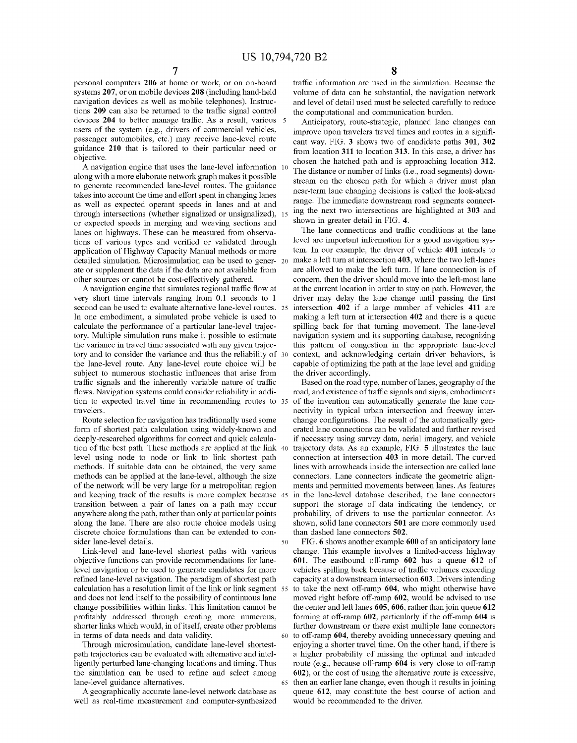personal computers 206 at home or work, or on on-board systems 207, or on mobile devices 208 (including hand-held navigation devices as well as mobile telephones). Instructions 209 can also be returned to the traffic signal control devices 204 to better manage traffic. As a result, various 5 users of the system (e.g., drivers of commercial vehicles, passenger automobiles, etc.) may receive lane-level route guidance 210 that is tailored to their particular need or objective.

A navigation engine that uses the lane-level information 10 along with a more elaborate network graph makes it possible to generate recommended lane-level routes. The guidance takes into account the time and effort spent in changing lanes as well as expected operant speeds in lanes and at and through intersections (whether signalized or unsignalized), 15 or expected speeds in merging and weaving sections and lanes on highways. These can be measured from observations of various types and verified or validated through application of Highway Capacity Manual methods or more detailed simulation. Microsimulation can be used to gener- 20 ate or supplement the data if the data are not available from other sources or cannot be cost-effectively gathered.

A navigation engine that simulates regional traffic flow at very short time intervals ranging from 0.1 seconds to 1 second can be used to evaluate alternative lane-level routes. <sup>25</sup> In one embodiment, a simulated probe vehicle is used to calculate the performance of a particular lane-level trajectory. Multiple simulation runs make it possible to estimate the variance in travel time associated with any given trajectory and to consider the variance and thus the reliability of <sup>30</sup> the lane-level route. Any lane-level route choice will be subject to numerous stochastic influences that arise from traffic signals and the inherently variable nature of traffic flows. Navigation systems could consider reliability in addition to expected travel time in recommending routes to <sup>35</sup> travelers.

Route selection for navigation has traditionally used some form of shortest path calculation using widely-known and deeply-researched algorithms for correct and quick calculation of the best path. These methods are applied at the link <sup>40</sup> level using node to node or link to link shortest path methods. If suitable data can be obtained, the very same methods can be applied at the lane-level, although the size of the network will be very large for a metropolitan region and keeping track of the results is more complex because <sup>45</sup> transition between a pair of lanes on a path may occur anywhere along the path, rather than only at particular points along the lane. There are also route choice models using discrete choice formulations than can be extended to con sider lane-level details. 50

Link-level and lane-level shortest paths with various objective functions can provide recommendations for lanelevel navigation or be used to generate candidates for more refined lane-level navigation. The paradigm of shortest path calculation has a resolution limit of the link or link segment 55 and does not lend itself to the possibility of continuous lane moved right before off-ramp 602, would be advised to use change possibilities within links. This limitation cannot be profitably addressed through creating more numerous, shorter links which would, in of itself, create other problems in terms of data needs and data validity. 60

Through microsimulation, candidate lane-level shortestpath trajectories can be evaluated with alternative and intelligently perturbed lane-changing locations and timing. Thus the simulation can be used to refine and select among lane-level guidance alternatives. 65

A geographically accurate lane-level network database as well as real-time measurement and computer-synthesized 8

traffic information are used in the simulation. Because the volume of data can be substantial, the navigation network and level of detail used must be selected carefully to reduce the computational and communication burden.

Anticipatory, route-strategic, planned lane changes can improve upon travelers travel times and routes in a significant way. FIG. 3 shows two of candidate paths 301, 302 from location 311 to location 313. In this case, a driver has chosen the hatched path and is approaching location 312. The distance or number of links (i.e., road segments) downstream on the chosen path for which a driver must plan near-term lane changing decisions is called the look-ahead range. The immediate downstream road segments connecting the next two intersections are highlighted at 303 and shown in greater detail in FIG. 4.

The lane connections and traffic conditions at the lane level are important information for a good navigation system. In our example, the driver of vehicle 401 intends to make a left turn at intersection 403, where the two left-lanes are allowed to make the left turn. If lane connection is of concern, then the driver should move into the left-most lane at the current location in order to stay on path. However, the driver may delay the lane change until passing the first intersection 402 if a large number of vehicles 411 are making a left turn at intersection 402 and there is a queue spilling back for that turning movement. The lane-level navigation system and its supporting database, recognizing this pattern of congestion in the appropriate lane-level context, and acknowledging certain driver behaviors, is capable of optimizing the path at the lane level and guiding the driver accordingly.

Based on the road type, number of lanes, geography of the road, and existence of traffic signals and signs, embodiments of the invention can automatically generate the lane con nectivity in typical urban intersection and freeway interchange configurations. The result of the automatically generated lane connections can be validated and further revised if necessary using survey data, aerial imagery, and vehicle trajectory data. As an example, FIG. 5 illustrates the lane connection at intersection 403 in more detail. The curved lines with arrowheads inside the intersection are called lane connectors. Lane connectors indicate the geometric alignments and permitted movements between lanes. As features in the lane-level database described, the lane connectors support the storage of data indicating the tendency, or probability, of drivers to use the particular connector. As shown, solid lane connectors 501 are more commonly used than dashed lane connectors 502.

FIG. 6 shows another example 600 of an anticipatory lane change. This example involves a limited-access highway 601. The eastbound off-ramp 602 has a queue 612 of vehicles spilling back because of traffic volumes exceeding capacity at a downstream intersection 603. Drivers intending to take the next off-ramp 604, who might otherwise have the center and left lanes  $605, 606$ , rather than join queue  $612$ forming at off-ramp 602, particularly if the off-ramp 604 is further downstream or there exist multiple lane connectors to off-ramp 604, thereby avoiding unnecessary queuing and enjoying a shorter travel time. On the other hand, if there is a higher probability of missing the optimal and intended route (e.g., because off-ramp 604 is very close to off-ramp 602), or the cost of using the alternative route is excessive, then an earlier lane change, even though it results in joining queue 612, may constitute the best course of action and would be recommended to the driver.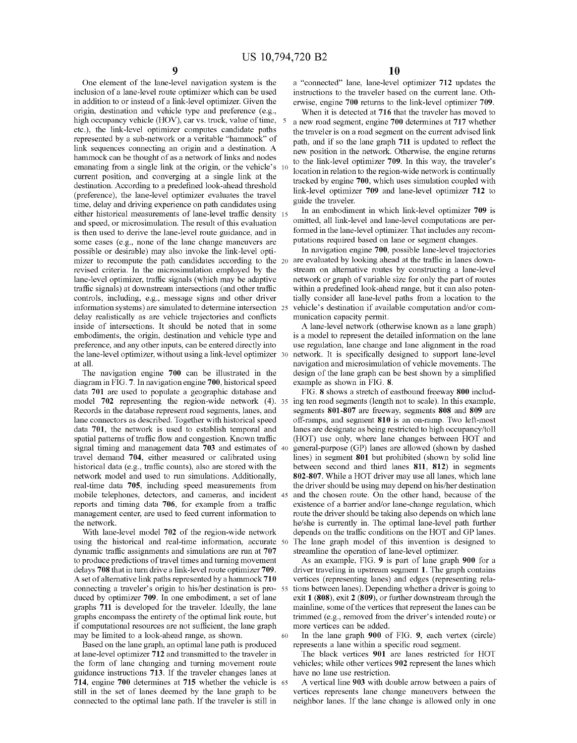One element of the lane-level navigation system is the inclusion of a lane-level route optimizer which can be used in addition to or instead of a link-level optimizer. Given the origin, destination and vehicle type and preference (e.g., high occupancy vehicle (HOV), car vs. truck, value of time, 5 etc.), the link-level optimizer computes candidate paths represented by a sub-network or a veritable "hammock" of path, and if so the lane graph 711 is updated to reflect the link sequences connecting an origin and a destination. A hammock can be thought of as a network of links and nodes emanating from a single link at the origin, or the vehicle's 10 current position, and converging at a single link at the destination. According to a predefined look-ahead threshold (preference), the lane-level optimizer evaluates the travel time, delay and driving experience on path candidates using either historical measurements of lane-level traffic density and speed, or microsimulation. The result of this evaluation is then used to derive the lane-level route guidance, and in some cases (e.g., none of the lane change maneuvers are possible or desirable) may also invoke the link-level optimizer to recompute the path candidates according to the 20 revised criteria. In the microsimulation employed by the lane-level optimizer, traffic signals (which may be adaptive traffic signals) at downstream intersections (and other traffic controls, including, e.g., message signs and other driver information systems) are simulated to determine intersection delay realistically as are vehicle trajectories and conflicts inside of intersections. It should be noted that in some embodiments, the origin, destination and vehicle type and is a model to represent the detailed information on the lane preference, and any other inputs, can be entered directly into the lane-level optimizer, without using a link-level optimizer at all.

The navigation engine 700 can be illustrated in the diagram in FIG. 7. In navigation engine 700, historical speed data 701 are used to populate a geographic database and model 702 representing the region-wide network (4). 35 ing ten road segments (length not to scale). In this example, Records in the database represent road segments, lanes, and segments 801-807 are freeway, segments 808 and 809 are lane connectors as described. Together with historical speed data 701, the network is used to establish temporal and spatial patterns of traffic flow and congestion. Known traffic signal timing and management data 703 and estimates of 40 travel demand 704, either measured or calibrated using historical data (e.g., traffic counts), also are stored with the network model and used to run simulations. Additionally, real-time data 705, including speed measurements from mobile telephones, detectors, and cameras, and incident reports and timing data 706, for example from a traffic management center, are used to feed current information to the network.

With lane-level model 702 of the region-wide network using the historical and real-time information, accurate 50 dynamic traffic assignments and simulations are run at 707 to produce predictions of travel times and turning movement delays 708 that in turn drive a link-level route optimizer 709. A set of alternative link paths represented by a hammock 710 connecting a traveler's origin to his/her destination is produced by optimizer 709. In one embodiment, a set of lane graphs 711 is developed for the traveler. Ideally, the lane graphs encompass the entirety of the optimal link route, but if computational resources are not sufficient, the lane graph may be limited to a look-ahead range, as shown.

Based on the lane graph, an optimal lane path is produced at lane-level optimizer 712 and transmitted to the traveler in the form of lane changing and turning movement route guidance instructions 713. If the traveler changes lanes at 714, engine 700 determines at 715 whether the vehicle is still in the set of lanes deemed by the lane graph to be connected to the optimal lane path. If the traveler is still in

a "connected" lane, lane-level optimizer 712 updates the instructions to the traveler based on the current lane. Otherwise, engine 700 returns to the link-level optimizer 709.

When it is detected at 716 that the traveler has moved to <sup>5</sup>a new road segment, engine 700 determines at 717 whether the traveler is on a road segment on the current advised link new position in the network. Otherwise, the engine returns to the link-level optimizer 709. In this way, the traveler's location in relation to the region-wide network is continually tracked by engine 700, which uses simulation coupled with link-level optimizer 709 and lane-level optimizer 712 to guide the traveler.

In an embodiment in which link-level optimizer 709 is omitted, all link-level and lane-level computations are performed in the lane-level optimizer. That includes any recom putations required based on lane or segment changes.

In navigation engine 700, possible lane-level trajectories are evaluated by looking ahead at the traffic in lanes downstream on alternative routes by constructing a lane-level network or graph of variable size for only the part of routes within a predefined look-ahead range, but it can also potentially consider all lane-level paths from a location to the vehicle's destination if available computation and/or communication capacity permit.

A lane-level network (otherwise known as a lane graph) use regulation, lane change and lane alignment in the road network. It is specifically designed to support lane-level navigation and microsimulation of vehicle movements. The design of the lane graph can be best shown by a simplified example as shown in FIG. 8.

FIG. 8 shows a stretch of eastbound freeway 800 includ off-ramps, and segment 810 is an on-ramp. Two left-most lanes are designate as being restricted to high occupancy/toll (HOT) use only, where lane changes between HOT and general-purpose (GP) lanes are allowed (shown by dashed lines) in segment 801 but prohibited (shown by solid line between second and third lanes 811, 812) in segments 802-807. While a HOT driver may use all lanes, which lane the driver should be using may depend on his/her destination and the chosen route. On the other hand, because of the existence of a barrier and/or lane-change regulation, which route the driver should be taking also depends on which lane he/she is currently in. The optimal lane-level path further depends on the traffic conditions on the HOT and GP lanes. The lane graph model of this invention is designed to streamline the operation of lane-level optimizer.

As an example, FIG. 9 is part of lane graph 900 for a driver traveling in upstream segment 1. The graph contains vertices (representing lanes) and edges (representing rela tions between lanes). Depending whether a driver is going to exit 1 (808), exit 2 (809), or further downstream through the mainline, some of the vertices that represent the lanes can be trimmed (e.g., removed from the driver's intended route) or more vertices can be added.

60 In the lane graph 900 of FIG. 9, each vertex (circle) represents a lane within a specific road segment.

The black vertices 901 are lanes restricted for HOT vehicles; while other vertices 902 represent the lanes which have no lane use restriction.

A vertical line 903 with double arrow between a pairs of vertices represents lane change maneuvers between the neighbor lanes. If the lane change is allowed only in one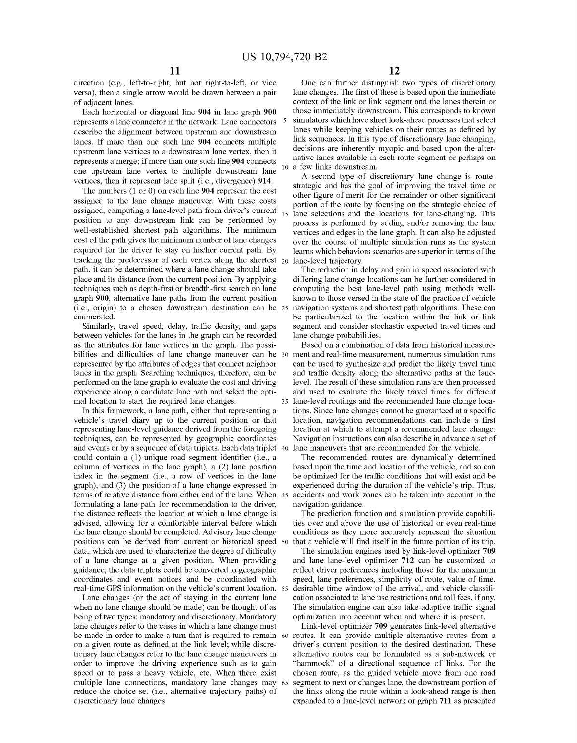direction (e.g., left-to-right, but not right-to-left, or vice versa), then a single arrow would be drawn between a pair of adjacent lanes.

Each horizontal or diagonal line 904 in lane graph 900 represents a lane connector in the network. Lane connectors describe the alignment between upstream and downstream lanes. If more than one such line 904 connects multiple upstream lane vertices to a downstream lane vertex, then it represents a merge; if more than one such line 904 connects one upstream lane vertex to multiple downstream lane vertices, then it represent lane split (i.e., divergence) 914.

The numbers (1 or 0) on each line 904 represent the cost assigned to the lane change maneuver. With these costs assigned, computing a lane-level path from driver's current position to any downstream link can be performed by well-established shortest path algorithms. The minimum cost of the path gives the minimum number of lane changes required for the driver to stay on his/her current path. By tracking the predecessor of each vertex along the shortest  $_{20}$ path, it can be determined where a lane change should take place and its distance from the current position. By applying techniques such as depth-first or breadth-first search on lane graph 900, alternative lane paths from the current position (i.e., origin) to a chosen downstream destination can be enumerated.

Similarly, travel speed, delay, traffic density, and gaps between vehicles for the lanes in the graph can be recorded as the attributes for lane vertices in the graph. The possibilities and difficulties of lane change maneuver can be 30 represented by the attributes of edges that connect neighbor lanes in the graph. Searching techniques, therefore, can be performed on the lane graph to evaluate the cost and driving experience along a candidate lane path and select the optimal location to start the required lane changes.

In this framework, a lane path, either that representing a vehicle's travel diary up to the current position or that representing lane-level guidance derived from the foregoing techniques, can be represented by geographic coordinates and events or by a sequence of data triplets. Each data triplet 40 could contain a (1) unique road segment identifier (i.e., a column of vertices in the lane graph), a (2) lane position based upon the time and location of the vehicle, and so can index in the segment (i.e., a row of vertices in the lane graph), and (3) the position of a lane change expressed in terms of relative distance from either end of the lane. When formulating a lane path for recommendation to the driver, the distance reflects the location at which a lane change is advised, allowing for a comfortable interval before which the lane change should be completed. Advisory lane change positions can be derived from current or historical speed data, which are used to characterize the degree of difficulty of a lane change at a given position. When providing guidance, the data triplets could be converted to geographic coordinates and event notices and be coordinated with real-time GPS information on the vehicle's current location.

Lane changes (or the act of staying in the current lane when no lane change should be made) can be thought of as being of two types: mandatory and discretionary. Mandatory lane changes refer to the cases in which a lane change must be made in order to make a turn that is required to remain 60 on a given route as defined at the link level; while discretionary lane changes refer to the lane change maneuvers in order to improve the driving experience such as to gain speed or to pass a heavy vehicle, etc. When there exist multiple lane connections, mandatory lane changes may reduce the choice set (i.e., alternative trajectory paths) of discretionary lane changes.

One can further distinguish two types of discretionary lane changes. The first of these is based upon the immediate context of the link or link segment and the lanes therein or those immediately downstream. This corresponds to known simulators which have short look-ahead processes that select lanes while keeping vehicles on their routes as defined by link sequences. In this type of discretionary lane changing, decisions are inherently myopic and based upon the alternative lanes available in each route segment or perhaps on a few links downstream.

A second type of discretionary lane change is routestrategic and has the goal of improving the travel time or other figure of merit for the remainder or other significant portion of the route by focusing on the strategic choice of lane selections and the locations for lane-changing. This process is performed by adding and/or removing the lane vertices and edges in the lane graph. It can also be adjusted over the course of multiple simulation runs as the system learns which behaviors scenarios are superior in terms of the lane-level trajectory.

The reduction in delay and gain in speed associated with differing lane change locations can be further considered in computing the best lane-level path using methods wellknown to those versed in the state of the practice of vehicle be particularized to the location within the link or link segment and consider stochastic expected travel times and lane change probabilities.

Based on a combination of data from historical measure ment and real-time measurement, numerous simulation runs and traffic density along the alternative paths at the lanelevel. The result of these simulation runs are then processed and used to evaluate the likely travel times for different lane-level routings and the recommended lane change locations. Since lane changes cannot be guaranteed at a specific location, navigation recommendations can include a first location at which to attempt a recommended lane change. Navigation instructions can also describe in advance a set of lane maneuvers that are recommended for the vehicle.

The recommended routes are dynamically determined be optimized for the traffic conditions that will exist and be experienced during the duration of the vehicle's trip. Thus, accidents and work zones can be taken into account in the navigation guidance.

The prediction function and simulation provide capabilities over and above the use of historical or even real-time conditions as they more accurately represent the situation that a vehicle will find itself in the future portion of its trip.

The simulation engines used by link-level optimizer 709 and lane lane-level optimizer 712 can be customized to reflect driver preferences including those for the maximum speed, lane preferences, simplicity of route, value of time, desirable time window of the arrival, and vehicle classification associated to lane use restrictions and toll fees, if any. The simulation engine can also take adaptive traffic signal optimization into account when and where it is present.

Link-level optimizer 709 generates link-level alternative routes. It can provide multiple alternative routes from a driver's current position to the desired destination. These alternative routes can be formulated as a sub-network or "hammock" of a directional sequence of links. For the chosen route, as the guided vehicle move from one road segment to next or changes lane, the downstream portion of the links along the route within a look-ahead range is then expanded to a lane-level network or graph 711 as presented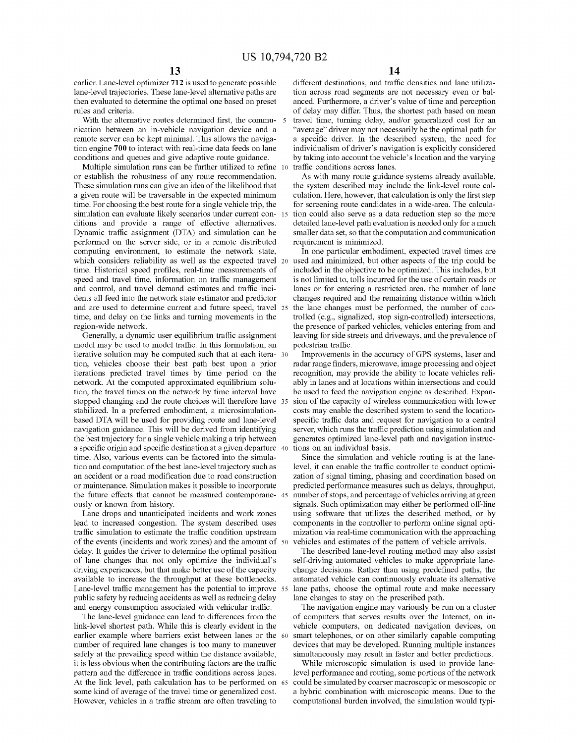earlier. Lane-level optimizer 712 is used to generate possible lane-level trajectories. These lane-level alternative paths are then evaluated to determine the optimal one based on preset rules and criteria.

With the alternative routes determined first, the commu- 5 nication between an in-vehicle navigation device and a remote server can be kept minimal. This allows the navigation engine 700 to interact with real-time data feeds on lane conditions and queues and give adaptive route guidance.

Multiple simulation runs can be further utilized to refine 10 or establish the robustness of any route recommendation. These simulation runs can give an idea of the likelihood that a given route will be traversable in the expected minimum time. For choosing the best route for a single vehicle trip, the simulation can evaluate likely scenarios under current con-15 ditions and provide a range of effective alternatives. Dynamic traffic assignment (DTA) and simulation can be performed on the server side, or in a remote distributed computing environment, to estimate the network state, which considers reliability as well as the expected travel 20 used and minimized, but other aspects of the trip could be time. Historical speed profiles, real-time measurements of speed and travel time, information on traffic management and control, and travel demand estimates and traffic incidents all feed into the network state estimator and predictor and are used to determine current and future speed, travel time, and delay on the links and turning movements in the region-wide network.

Generally, a dynamic user equilibrium traffic assignment model may be used to model traffic. In this formulation, an iterative solution may be computed such that at each iteration, vehicles choose their best path best upon a prior iterations predicted travel times by time period on the network. At the computed approximated equilibrium solution, the travel times on the network by time interval have stopped changing and the route choices will therefore have 35 stabilized. In a preferred embodiment, a microsimulationbased DTA will be used for providing route and lane-level navigation guidance. This will be derived from identifying the best trajectory for a single vehicle making a trip between a specific origin and specific destination at a given departure time. Also, various events can be factored into the simulation and computation of the best lane-level trajectory such as an accident or a road modification due to road construction or maintenance. Simulation makes it possible to incorporate the future effects that cannot be measured contemporane- 45 ously or known from history.

Lane drops and unanticipated incidents and work zones lead to increased congestion. The system described uses traffic simulation to estimate the traffic condition upstream of the events (incidents and work zones) and the amount of delay. It guides the driver to determine the optimal position of lane changes that not only optimize the individual's driving experiences, but that make better use of the capacity available to increase the throughput at these bottlenecks. Lane-level traffic management has the potential to improve public safety by reducing accidents as well as reducing delay and energy consumption associated with vehicular traffic.

The lane-level guidance can lead to differences from the link-level shortest path. While this is clearly evident in the earlier example where barriers exist between lanes or the 60 number of required lane changes is too many to maneuver safely at the prevailing speed within the distance available, it is less obvious when the contributing factors are the traffic pattern and the difference in traffic conditions across lanes. At the link level, path calculation has to be performed on 65 some kind of average of the travel time or generalized cost. However, vehicles in a traffic stream are often traveling to

different destinations, and traffic densities and lane utilization across road segments are not necessary even or balanced. Furthermore, a driver's value of time and perception of delay may differ. Thus, the shortest path based on mean travel time, turning delay, and/or generalized cost for an "average" driver may not necessarily be the optimal path for a specific driver. In the described system, the need for individualism of driver's navigation is explicitly considered by taking into account the vehicle's location and the varying traffic conditions across lanes.

As with many route guidance systems already available, the system described may include the link-level route calculation. Here, however, that calculation is only the first step for screening route candidates in a wide-area. The calcula tion could also serve as a data reduction step so the more detailed lane-level path evaluation is needed only for a much smaller data set, so that the computation and communication requirement is minimized.

In one particular embodiment, expected travel times are included in the objective to be optimized. This includes, but is not limited to, tolls incurred for the use of certain roads or lanes or for entering a restricted area, the number of lane changes required and the remaining distance within which the lane changes must be performed, the number of controlled (e.g., signalized, stop sign-controlled) intersections, the presence of parked vehicles, vehicles entering from and leaving for side streets and driveways, and the prevalence of pedestrian traffic.

Improvements in the accuracy of GPS systems, laser and radar range finders, microwave, image processing and object recognition, may provide the ability to locate vehicles reliably in lanes and at locations within intersections and could be used to feed the navigation engine as described. Expan sion of the capacity of wireless communication with lower costs may enable the described system to send the locationspecific traffic data and request for navigation to a central server, which runs the traffic prediction using simulation and generates optimized lane-level path and navigation instruc tions on an individual basis.

Since the simulation and vehicle routing is at the lanelevel, it can enable the traffic controller to conduct optimization of signal timing, phasing and coordination based on predicted performance measures such as delays, throughput, number of stops, and percentage of vehicles arriving at green signals. Such optimization may either be performed off-line using software that utilizes the described method, or by components in the controller to perform online signal optimization via real-time communication with the approaching vehicles and estimates of the pattern of vehicle arrivals.

The described lane-level routing method may also assist self-driving automated vehicles to make appropriate lanechange decisions. Rather than using predefined paths, the automated vehicle can continuously evaluate its alternative lane paths, choose the optimal route and make necessary lane changes to stay on the prescribed path.

The navigation engine may variously be run on a cluster of computers that serves results over the Internet, on invehicle computers, on dedicated navigation devices, on smart telephones, or on other similarly capable computing devices that may be developed. Running multiple instances simultaneously may result in faster and better predictions.

While microscopic simulation is used to provide lanelevel performance and routing, some portions of the network 65 could be simulated by coarser macroscopic or mesoscopic or a hybrid combination with microscopic means. Due to the computational burden involved, the simulation would typi-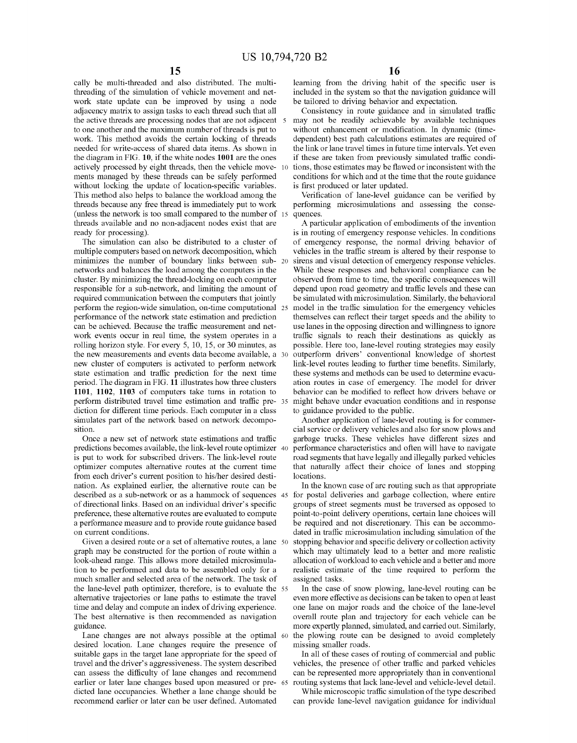cally be multi-threaded and also distributed. The multithreading of the simulation of vehicle movement and network state update can be improved by using a node adjacency matrix to assign tasks to each thread such that all the active threads are processing nodes that are not adjacent 5 to one another and the maximum number of threads is put to work. This method avoids the certain locking of threads needed for write-access of shared data items. As shown in the diagram in FIG. 10, if the white nodes 1001 are the ones actively processed by eight threads, then the vehicle move- 10 ments managed by these threads can be safely performed without locking the update of location-specific variables. This method also helps to balance the workload among the threads because any free thread is immediately put to work (unless the network is too small compared to the number of 15 quences. threads available and no non-adjacent nodes exist that are ready for processing).

The simulation can also be distributed to a cluster of multiple computers based on network decomposition, which minimizes the number of boundary links between sub- 20 networks and balances the load among the computers in the cluster. By minimizing the thread-locking on each computer responsible for a sub-network, and limiting the amount of required communication between the computers that jointly be simulated with microsimulation. Similarly, the behavioral perform the region-wide simulation, on-time computational 25 performance of the network state estimation and prediction can be achieved. Because the traffic measurement and network events occur in real time, the system operates in a rolling horizon style. For every 5, 10, 15, or 30 minutes, as the new measurements and events data become available, a 30 new cluster of computers is activated to perform network state estimation and traffic prediction for the next time period. The diagram in FIG. 11 illustrates how three clusters 1101, 1102, 1103 of computers take turns in rotation to perform distributed travel time estimation and traffic pre- 35 diction for different time periods. Each computer in a class simulates part of the network based on network decomposition.

Once a new set of network state estimations and traffic predictions becomes available, the link-level route optimizer <sup>40</sup> is put to work for subscribed drivers. The link-level route optimizer computes alternative routes at the current time from each driver's current position to his/her desired destination. As explained earlier, the alternative route can be described as a sub-network or as a hammock of sequences 45 of directional links. Based on an individual driver's specific preference, these alternative routes are evaluated to compute a performance measure and to provide route guidance based on current conditions.

Given a desired route or a set of alternative routes, a lane 50 graph may be constructed for the portion of route within a look-ahead range. This allows more detailed microsimulation to be performed and data to be assembled only for a much smaller and selected area of the network. The task of the lane-level path optimizer, therefore, is to evaluate the 55 alternative trajectories or lane paths to estimate the travel time and delay and compute an index of driving experience. The best alternative is then recommended as navigation guidance.

Lane changes are not always possible at the optimal 60 desired location. Lane changes require the presence of suitable gaps in the target lane appropriate for the speed of travel and the driver's aggressiveness. The system described can assess the difficulty of lane changes and recommend earlier or later lane changes based upon measured or pre- 65 dicted lane occupancies. Whether a lane change should be recommend earlier or later can be user defined. Automated

learning from the driving habit of the specific user is included in the system so that the navigation guidance will be tailored to driving behavior and expectation.

Consistency in route guidance and in simulated traffic may not be readily achievable by available techniques without enhancement or modification. In dynamic (timedependent) best path calculations estimates are required of the link or lane travel times in future time intervals. Yet even if these are taken from previously simulated traffic conditions, those estimates may be flawed or inconsistent with the conditions for which and at the time that the route guidance is first produced or later updated.

Verification of lane-level guidance can be verified by performing microsimulations and assessing the conse-

A particular application of embodiments of the invention is in routing of emergency response vehicles. In conditions of emergency response, the normal driving behavior of vehicles in the traffic stream is altered by their response to sirens and visual detection of emergency response vehicles. While these responses and behavioral compliance can be observed from time to time, the specific consequences will depend upon road geometry and traffic levels and these can model in the traffic simulation for the emergency vehicles themselves can reflect their target speeds and the ability to use lanes in the opposing direction and willingness to ignore traffic signals to reach their destinations as quickly as possible. Here too, lane-level routing strategies may easily outperform drivers' conventional knowledge of shortest link-level routes leading to further time benefits. Similarly, these systems and methods can be used to determine evacu ation routes in case of emergency. The model for driver behavior can be modified to reflect how drivers behave or might behave under evacuation conditions and in response to guidance provided to the public.

Another application of lane-level routing is for commer cial service or delivery vehicles and also for snow plows and garbage trucks. These vehicles have different sizes and performance characteristics and often will have to navigate road segments that have legally and illegally parked vehicles that naturally affect their choice of lanes and stopping locations.

In the known case of arc routing such as that appropriate for postal deliveries and garbage collection, where entire groups of street segments must be traversed as opposed to point-to-point delivery operations, certain lane choices will be required and not discretionary. This can be accommodated in traffic microsimulation including simulation of the stopping behavior and specific delivery or collection activity which may ultimately lead to a better and more realistic allocation of workload to each vehicle and a better and more realistic estimate of the time required to perform the assigned tasks.

In the case of snow plowing, lane-level routing can be even more effective as decisions can be taken to open at least one lane on major roads and the choice of the lane-level overall route plan and trajectory for each vehicle can be more expertly planned, simulated, and carried out. Similarly, the plowing route can be designed to avoid completely missing smaller roads.

In all of these cases of routing of commercial and public vehicles, the presence of other traffic and parked vehicles can be represented more appropriately than in conventional routing systems that lack lane-level and vehicle-level detail.

While microscopic traffic simulation of the type described can provide lane-level navigation guidance for individual